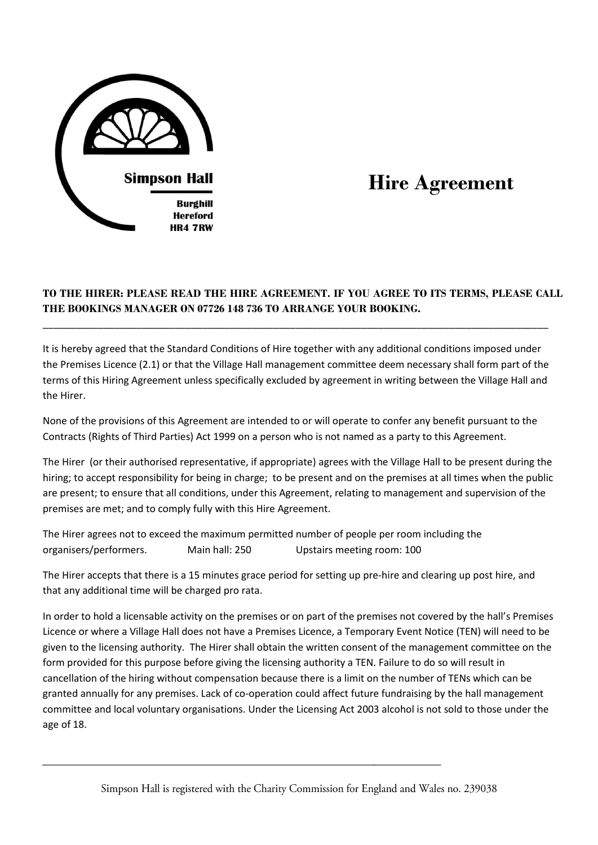

# **Hire Agreement**

# **TO THE HIRER: PLEASE READ THE HIRE AGREEMENT. IF YOU AGREE TO ITS TERMS, PLEASE CALL THE BOOKINGS MANAGER ON 07726 148 736 TO ARRANGE YOUR BOOKING.**

It is hereby agreed that the Standard Conditions of Hire together with any additional conditions imposed under the Premises Licence (2.1) or that the Village Hall management committee deem necessary shall form part of the terms of this Hiring Agreement unless specifically excluded by agreement in writing between the Village Hall and the Hirer.

\_\_\_\_\_\_\_\_\_\_\_\_\_\_\_\_\_\_\_\_\_\_\_\_\_\_\_\_\_\_\_\_\_\_\_\_\_\_\_\_\_\_\_\_\_\_\_\_\_\_\_\_\_\_\_\_\_\_\_\_\_\_\_\_\_\_\_\_\_\_\_\_\_\_\_\_\_\_\_\_\_\_\_\_\_\_\_\_\_\_\_\_

None of the provisions of this Agreement are intended to or will operate to confer any benefit pursuant to the Contracts (Rights of Third Parties) Act 1999 on a person who is not named as a party to this Agreement.

The Hirer (or their authorised representative, if appropriate) agrees with the Village Hall to be present during the hiring; to accept responsibility for being in charge; to be present and on the premises at all times when the public are present; to ensure that all conditions, under this Agreement, relating to management and supervision of the premises are met; and to comply fully with this Hire Agreement.

The Hirer agrees not to exceed the maximum permitted number of people per room including the organisers/performers. Main hall: 250 Upstairs meeting room: 100

The Hirer accepts that there is a 15 minutes grace period for setting up pre-hire and clearing up post hire, and that any additional time will be charged pro rata.

In order to hold a licensable activity on the premises or on part of the premises not covered by the hall's Premises Licence or where a Village Hall does not have a Premises Licence, a Temporary Event Notice (TEN) will need to be given to the licensing authority. The Hirer shall obtain the written consent of the management committee on the form provided for this purpose before giving the licensing authority a TEN. Failure to do so will result in cancellation of the hiring without compensation because there is a limit on the number of TENs which can be granted annually for any premises. Lack of co-operation could affect future fundraising by the hall management committee and local voluntary organisations. Under the Licensing Act 2003 alcohol is not sold to those under the age of 18.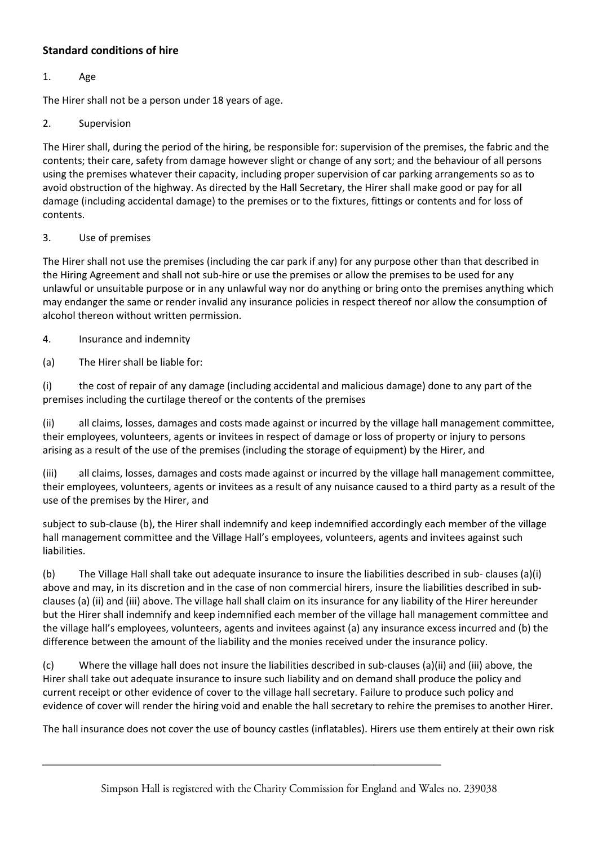# **Standard conditions of hire**

## 1. Age

The Hirer shall not be a person under 18 years of age.

## 2. Supervision

The Hirer shall, during the period of the hiring, be responsible for: supervision of the premises, the fabric and the contents; their care, safety from damage however slight or change of any sort; and the behaviour of all persons using the premises whatever their capacity, including proper supervision of car parking arrangements so as to avoid obstruction of the highway. As directed by the Hall Secretary, the Hirer shall make good or pay for all damage (including accidental damage) to the premises or to the fixtures, fittings or contents and for loss of contents.

## 3. Use of premises

The Hirer shall not use the premises (including the car park if any) for any purpose other than that described in the Hiring Agreement and shall not sub-hire or use the premises or allow the premises to be used for any unlawful or unsuitable purpose or in any unlawful way nor do anything or bring onto the premises anything which may endanger the same or render invalid any insurance policies in respect thereof nor allow the consumption of alcohol thereon without written permission.

## 4. Insurance and indemnity

(a) The Hirer shall be liable for:

(i) the cost of repair of any damage (including accidental and malicious damage) done to any part of the premises including the curtilage thereof or the contents of the premises

(ii) all claims, losses, damages and costs made against or incurred by the village hall management committee, their employees, volunteers, agents or invitees in respect of damage or loss of property or injury to persons arising as a result of the use of the premises (including the storage of equipment) by the Hirer, and

(iii) all claims, losses, damages and costs made against or incurred by the village hall management committee, their employees, volunteers, agents or invitees as a result of any nuisance caused to a third party as a result of the use of the premises by the Hirer, and

subject to sub-clause (b), the Hirer shall indemnify and keep indemnified accordingly each member of the village hall management committee and the Village Hall's employees, volunteers, agents and invitees against such liabilities.

(b) The Village Hall shall take out adequate insurance to insure the liabilities described in sub- clauses (a)(i) above and may, in its discretion and in the case of non commercial hirers, insure the liabilities described in subclauses (a) (ii) and (iii) above. The village hall shall claim on its insurance for any liability of the Hirer hereunder but the Hirer shall indemnify and keep indemnified each member of the village hall management committee and the village hall's employees, volunteers, agents and invitees against (a) any insurance excess incurred and (b) the difference between the amount of the liability and the monies received under the insurance policy.

(c) Where the village hall does not insure the liabilities described in sub-clauses (a)(ii) and (iii) above, the Hirer shall take out adequate insurance to insure such liability and on demand shall produce the policy and current receipt or other evidence of cover to the village hall secretary. Failure to produce such policy and evidence of cover will render the hiring void and enable the hall secretary to rehire the premises to another Hirer.

The hall insurance does not cover the use of bouncy castles (inflatables). Hirers use them entirely at their own risk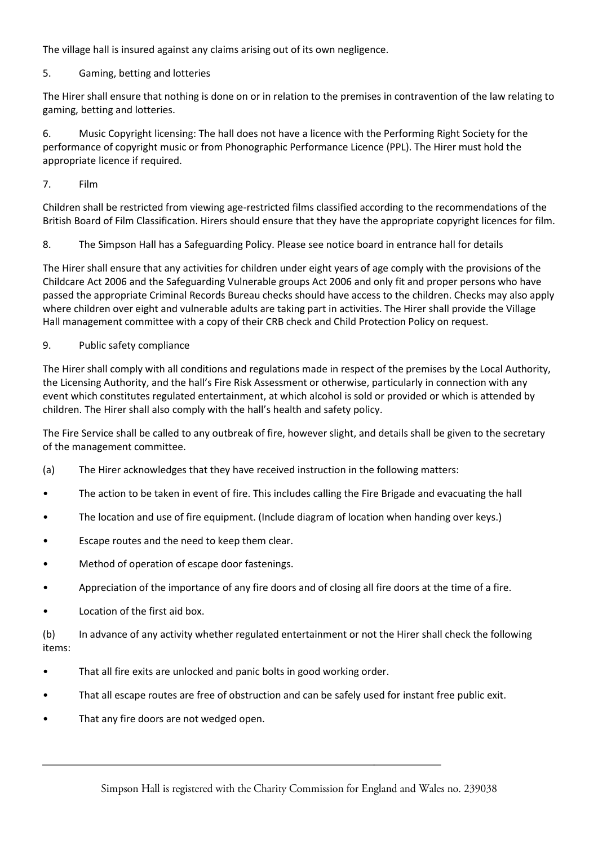The village hall is insured against any claims arising out of its own negligence.

## 5. Gaming, betting and lotteries

The Hirer shall ensure that nothing is done on or in relation to the premises in contravention of the law relating to gaming, betting and lotteries.

6. Music Copyright licensing: The hall does not have a licence with the Performing Right Society for the performance of copyright music or from Phonographic Performance Licence (PPL). The Hirer must hold the appropriate licence if required.

7. Film

Children shall be restricted from viewing age-restricted films classified according to the recommendations of the British Board of Film Classification. Hirers should ensure that they have the appropriate copyright licences for film.

8. The Simpson Hall has a Safeguarding Policy. Please see notice board in entrance hall for details

The Hirer shall ensure that any activities for children under eight years of age comply with the provisions of the Childcare Act 2006 and the Safeguarding Vulnerable groups Act 2006 and only fit and proper persons who have passed the appropriate Criminal Records Bureau checks should have access to the children. Checks may also apply where children over eight and vulnerable adults are taking part in activities. The Hirer shall provide the Village Hall management committee with a copy of their CRB check and Child Protection Policy on request.

## 9. Public safety compliance

The Hirer shall comply with all conditions and regulations made in respect of the premises by the Local Authority, the Licensing Authority, and the hall's Fire Risk Assessment or otherwise, particularly in connection with any event which constitutes regulated entertainment, at which alcohol is sold or provided or which is attended by children. The Hirer shall also comply with the hall's health and safety policy.

The Fire Service shall be called to any outbreak of fire, however slight, and details shall be given to the secretary of the management committee.

- (a) The Hirer acknowledges that they have received instruction in the following matters:
- The action to be taken in event of fire. This includes calling the Fire Brigade and evacuating the hall
- The location and use of fire equipment. (Include diagram of location when handing over keys.)
- Escape routes and the need to keep them clear.
- Method of operation of escape door fastenings.
- Appreciation of the importance of any fire doors and of closing all fire doors at the time of a fire.
- Location of the first aid box.

(b) In advance of any activity whether regulated entertainment or not the Hirer shall check the following items:

- That all fire exits are unlocked and panic bolts in good working order.
- That all escape routes are free of obstruction and can be safely used for instant free public exit.
- That any fire doors are not wedged open.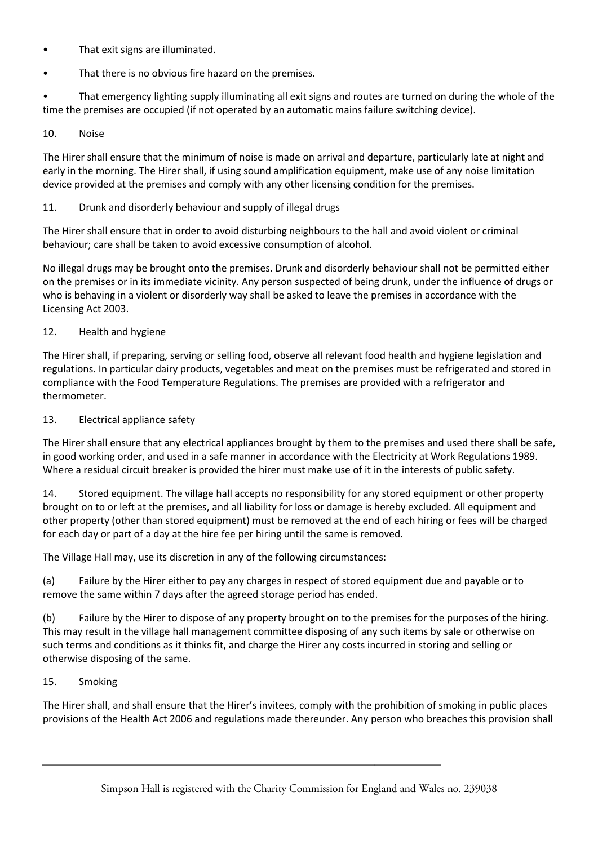- That exit signs are illuminated.
- That there is no obvious fire hazard on the premises.

• That emergency lighting supply illuminating all exit signs and routes are turned on during the whole of the time the premises are occupied (if not operated by an automatic mains failure switching device).

10. Noise

The Hirer shall ensure that the minimum of noise is made on arrival and departure, particularly late at night and early in the morning. The Hirer shall, if using sound amplification equipment, make use of any noise limitation device provided at the premises and comply with any other licensing condition for the premises.

## 11. Drunk and disorderly behaviour and supply of illegal drugs

The Hirer shall ensure that in order to avoid disturbing neighbours to the hall and avoid violent or criminal behaviour; care shall be taken to avoid excessive consumption of alcohol.

No illegal drugs may be brought onto the premises. Drunk and disorderly behaviour shall not be permitted either on the premises or in its immediate vicinity. Any person suspected of being drunk, under the influence of drugs or who is behaving in a violent or disorderly way shall be asked to leave the premises in accordance with the Licensing Act 2003.

#### 12. Health and hygiene

The Hirer shall, if preparing, serving or selling food, observe all relevant food health and hygiene legislation and regulations. In particular dairy products, vegetables and meat on the premises must be refrigerated and stored in compliance with the Food Temperature Regulations. The premises are provided with a refrigerator and thermometer.

#### 13. Electrical appliance safety

The Hirer shall ensure that any electrical appliances brought by them to the premises and used there shall be safe, in good working order, and used in a safe manner in accordance with the Electricity at Work Regulations 1989. Where a residual circuit breaker is provided the hirer must make use of it in the interests of public safety.

14. Stored equipment. The village hall accepts no responsibility for any stored equipment or other property brought on to or left at the premises, and all liability for loss or damage is hereby excluded. All equipment and other property (other than stored equipment) must be removed at the end of each hiring or fees will be charged for each day or part of a day at the hire fee per hiring until the same is removed.

The Village Hall may, use its discretion in any of the following circumstances:

(a) Failure by the Hirer either to pay any charges in respect of stored equipment due and payable or to remove the same within 7 days after the agreed storage period has ended.

(b) Failure by the Hirer to dispose of any property brought on to the premises for the purposes of the hiring. This may result in the village hall management committee disposing of any such items by sale or otherwise on such terms and conditions as it thinks fit, and charge the Hirer any costs incurred in storing and selling or otherwise disposing of the same.

#### 15. Smoking

The Hirer shall, and shall ensure that the Hirer's invitees, comply with the prohibition of smoking in public places provisions of the Health Act 2006 and regulations made thereunder. Any person who breaches this provision shall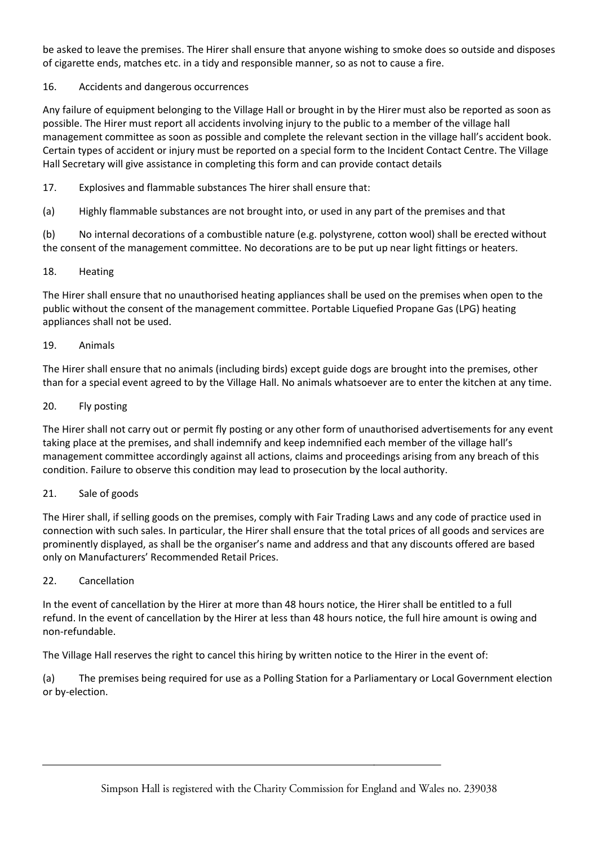be asked to leave the premises. The Hirer shall ensure that anyone wishing to smoke does so outside and disposes of cigarette ends, matches etc. in a tidy and responsible manner, so as not to cause a fire.

## 16. Accidents and dangerous occurrences

Any failure of equipment belonging to the Village Hall or brought in by the Hirer must also be reported as soon as possible. The Hirer must report all accidents involving injury to the public to a member of the village hall management committee as soon as possible and complete the relevant section in the village hall's accident book. Certain types of accident or injury must be reported on a special form to the Incident Contact Centre. The Village Hall Secretary will give assistance in completing this form and can provide contact details

17. Explosives and flammable substances The hirer shall ensure that:

(a) Highly flammable substances are not brought into, or used in any part of the premises and that

(b) No internal decorations of a combustible nature (e.g. polystyrene, cotton wool) shall be erected without the consent of the management committee. No decorations are to be put up near light fittings or heaters.

## 18. Heating

The Hirer shall ensure that no unauthorised heating appliances shall be used on the premises when open to the public without the consent of the management committee. Portable Liquefied Propane Gas (LPG) heating appliances shall not be used.

#### 19. Animals

The Hirer shall ensure that no animals (including birds) except guide dogs are brought into the premises, other than for a special event agreed to by the Village Hall. No animals whatsoever are to enter the kitchen at any time.

#### 20. Fly posting

The Hirer shall not carry out or permit fly posting or any other form of unauthorised advertisements for any event taking place at the premises, and shall indemnify and keep indemnified each member of the village hall's management committee accordingly against all actions, claims and proceedings arising from any breach of this condition. Failure to observe this condition may lead to prosecution by the local authority.

## 21. Sale of goods

The Hirer shall, if selling goods on the premises, comply with Fair Trading Laws and any code of practice used in connection with such sales. In particular, the Hirer shall ensure that the total prices of all goods and services are prominently displayed, as shall be the organiser's name and address and that any discounts offered are based only on Manufacturers' Recommended Retail Prices.

## 22. Cancellation

In the event of cancellation by the Hirer at more than 48 hours notice, the Hirer shall be entitled to a full refund. In the event of cancellation by the Hirer at less than 48 hours notice, the full hire amount is owing and non-refundable.

The Village Hall reserves the right to cancel this hiring by written notice to the Hirer in the event of:

(a) The premises being required for use as a Polling Station for a Parliamentary or Local Government election or by-election.